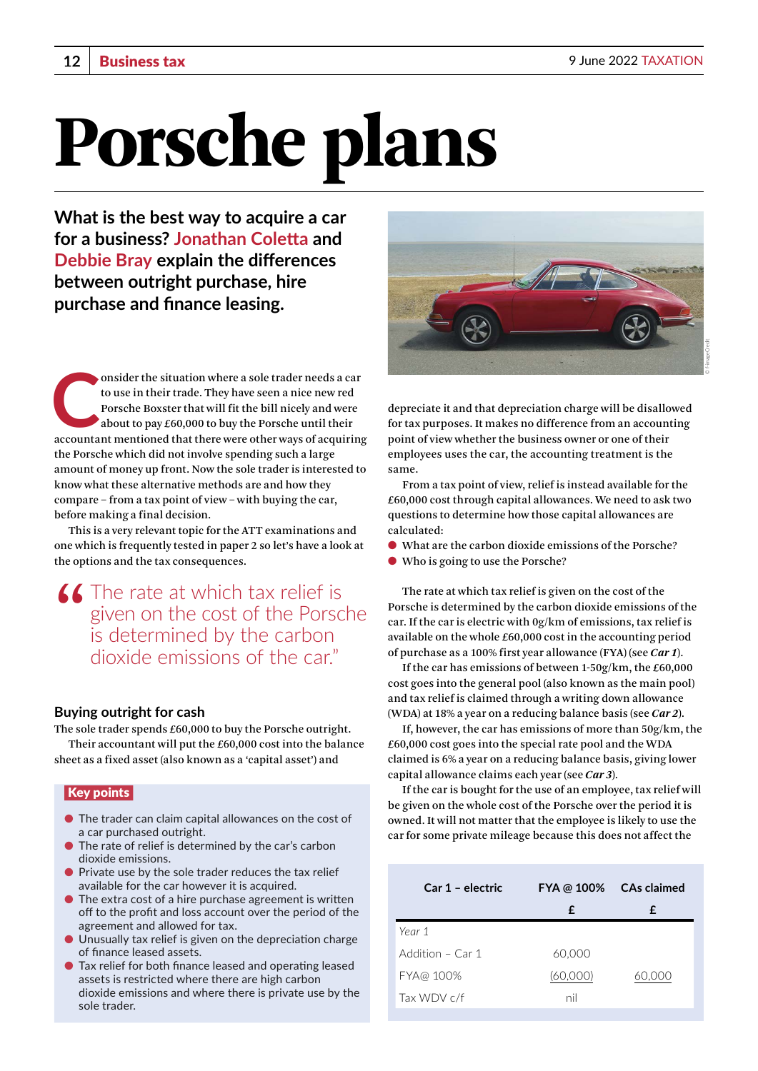# Porsche plans

**What is the best way to acquire a car for a business? Jonathan Coletta and Debbie Bray explain the differences between outright purchase, hire purchase and finance leasing.**

onsider the situation where a sole trader needs a car<br>
to use in their trade. They have seen a nice new red<br>
Porsche Boxster that will fit the bill nicely and were<br>
about to pay £60,000 to buy the Porsche until their<br>
acco to use in their trade. They have seen a nice new red Porsche Boxster that will fit the bill nicely and were about to pay £60,000 to buy the Porsche until their the Porsche which did not involve spending such a large amount of money up front. Now the sole trader is interested to know what these alternative methods are and how they compare – from a tax point of view – with buying the car, before making a final decision.

This is a very relevant topic for the ATT examinations and one which is frequently tested in paper 2 so let's have a look at the options and the tax consequences.

**"The rate at which tax relief is given on the cost of the Porsc is determined by the carbon** given on the cost of the Porsche is determined by the carbon dioxide emissions of the car<sup>"</sup>

#### **Buying outright for cash**

The sole trader spends £60,000 to buy the Porsche outright. Their accountant will put the £60,000 cost into the balance sheet as a fixed asset (also known as a 'capital asset') and

#### Key points

- The trader can claim capital allowances on the cost of a car purchased outright.
- The rate of relief is determined by the car's carbon dioxide emissions.
- Private use by the sole trader reduces the tax relief available for the car however it is acquired.
- The extra cost of a hire purchase agreement is written off to the profit and loss account over the period of the agreement and allowed for tax.
- Unusually tax relief is given on the depreciation charge of finance leased assets.
- Tax relief for both finance leased and operating leased assets is restricted where there are high carbon dioxide emissions and where there is private use by the sole trader.



depreciate it and that depreciation charge will be disallowed for tax purposes. It makes no difference from an accounting point of view whether the business owner or one of their employees uses the car, the accounting treatment is the same.

From a tax point of view, relief is instead available for the £60,000 cost through capital allowances. We need to ask two questions to determine how those capital allowances are calculated:

- What are the carbon dioxide emissions of the Porsche?
- Who is going to use the Porsche?

The rate at which tax relief is given on the cost of the Porsche is determined by the carbon dioxide emissions of the car. If the car is electric with 0g/km of emissions, tax relief is available on the whole £60,000 cost in the accounting period of purchase as a 100% first year allowance (FYA) (see *Car 1*).

If the car has emissions of between 1-50g/km, the £60,000 cost goes into the general pool (also known as the main pool) and tax relief is claimed through a writing down allowance (WDA) at 18% a year on a reducing balance basis (see *Car 2*).

If, however, the car has emissions of more than 50g/km, the £60,000 cost goes into the special rate pool and the WDA claimed is 6% a year on a reducing balance basis, giving lower capital allowance claims each year (see *Car 3*).

If the car is bought for the use of an employee, tax relief will be given on the whole cost of the Porsche over the period it is owned. It will not matter that the employee is likely to use the car for some private mileage because this does not affect the

| Car 1 - electric | FYA @ 100% CAs claimed |        |
|------------------|------------------------|--------|
|                  | £                      | £      |
| Year 1           |                        |        |
| Addition - Car 1 | 60,000                 |        |
| FYA@ 100%        | (60,000)               | 60,000 |
| Tax WDV c/f      | nil                    |        |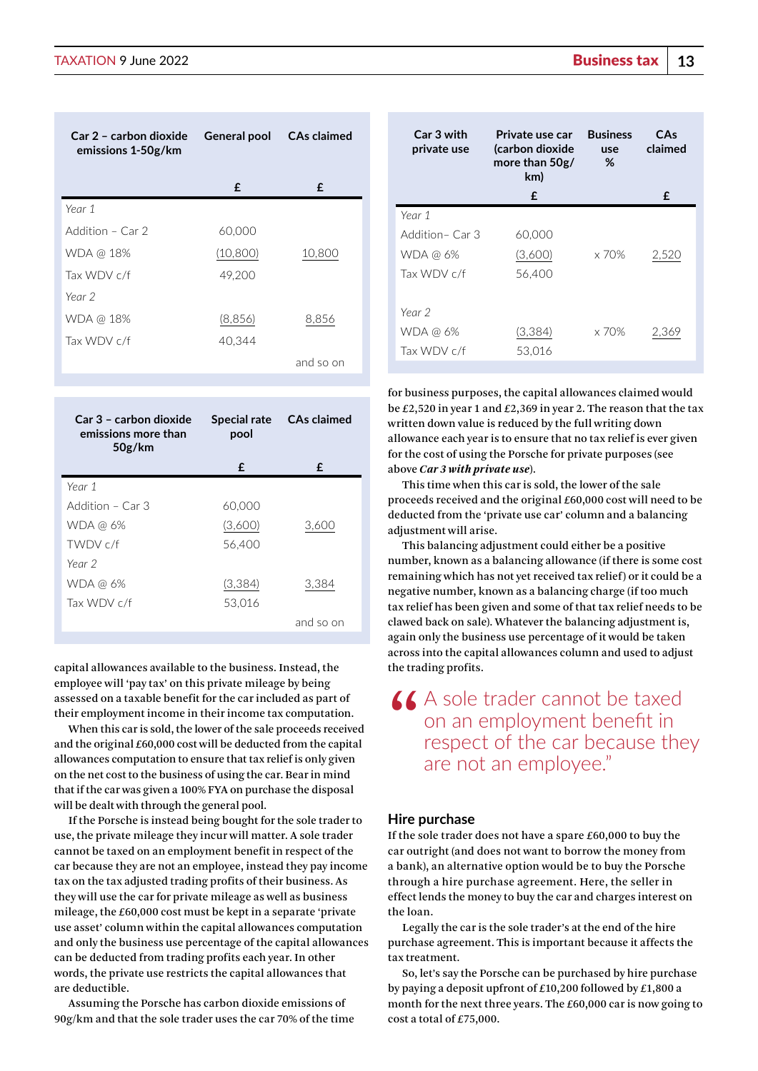| Car 2 - carbon dioxide General pool CAs claimed<br>emissions 1-50g/km |          |           |
|-----------------------------------------------------------------------|----------|-----------|
|                                                                       | £        | £         |
| Year 1                                                                |          |           |
| Addition – Car 2                                                      | 60,000   |           |
| WDA @ 18%                                                             | (10,800) | 10,800    |
| Tax WDV c/f                                                           | 49,200   |           |
| Year 2                                                                |          |           |
| WDA @ 18%                                                             | (8,856)  | 8,856     |
| Tax WDV c/f                                                           | 40.344   |           |
|                                                                       |          | and so on |

| Car 3 – carbon dioxide<br>emissions more than<br>50g/km | pool    | Special rate CAs claimed |
|---------------------------------------------------------|---------|--------------------------|
|                                                         | £       | £                        |
| Year 1                                                  |         |                          |
| Addition – Car 3                                        | 60,000  |                          |
| WDA @ 6%                                                | (3,600) | 3,600                    |
| TWDV c/f                                                | 56.400  |                          |
| Year 2                                                  |         |                          |
| WDA @ 6%                                                | (3,384) | 3,384                    |
| Tax $WDV$ c/f                                           | 53,016  |                          |
|                                                         |         | and so on                |

capital allowances available to the business. Instead, the employee will 'pay tax' on this private mileage by being assessed on a taxable benefit for the car included as part of their employment income in their income tax computation.

When this car is sold, the lower of the sale proceeds received and the original £60,000 cost will be deducted from the capital allowances computation to ensure that tax relief is only given on the net cost to the business of using the car. Bear in mind that if the car was given a 100% FYA on purchase the disposal will be dealt with through the general pool.

If the Porsche is instead being bought for the sole trader to use, the private mileage they incur will matter. A sole trader cannot be taxed on an employment benefit in respect of the car because they are not an employee, instead they pay income tax on the tax adjusted trading profits of their business. As they will use the car for private mileage as well as business mileage, the £60,000 cost must be kept in a separate 'private use asset' column within the capital allowances computation and only the business use percentage of the capital allowances can be deducted from trading profits each year. In other words, the private use restricts the capital allowances that are deductible.

Assuming the Porsche has carbon dioxide emissions of 90g/km and that the sole trader uses the car 70% of the time

| Car 3 with<br>private use | Private use car<br>(carbon dioxide<br>more than $50g/$<br>km) | <b>Business</b><br>use<br>% | CAs<br>claimed |
|---------------------------|---------------------------------------------------------------|-----------------------------|----------------|
|                           | £                                                             |                             | £              |
| Year 1                    |                                                               |                             |                |
| Addition - Car 3          | 60,000                                                        |                             |                |
| WDA @ 6%                  | (3,600)                                                       | $\times 70\%$               | 2,520          |
| Tax $WDV$ c/f             | 56,400                                                        |                             |                |
|                           |                                                               |                             |                |
| Year 2                    |                                                               |                             |                |
| WDA @ 6%                  | (3,384)                                                       | $\times$ 70%                | 2,369          |
| Tax WDV c/f               | 53,016                                                        |                             |                |
|                           |                                                               |                             |                |

for business purposes, the capital allowances claimed would be £2,520 in year 1 and £2,369 in year 2. The reason that the tax written down value is reduced by the full writing down allowance each year is to ensure that no tax relief is ever given for the cost of using the Porsche for private purposes (see above *Car 3 with private use*).

This time when this car is sold, the lower of the sale proceeds received and the original £60,000 cost will need to be deducted from the 'private use car' column and a balancing adjustment will arise.

This balancing adjustment could either be a positive number, known as a balancing allowance (if there is some cost remaining which has not yet received tax relief) or it could be a negative number, known as a balancing charge (if too much tax relief has been given and some of that tax relief needs to be clawed back on sale). Whatever the balancing adjustment is, again only the business use percentage of it would be taken across into the capital allowances column and used to adjust the trading profits.

## **66** A sole trader cannot be taxed<br>on an employment benefit in<br>respect of the car because the on an employment benefit in respect of the car because they are not an employee."

#### **Hire purchase**

If the sole trader does not have a spare  $£60,000$  to buy the car outright (and does not want to borrow the money from a bank), an alternative option would be to buy the Porsche through a hire purchase agreement. Here, the seller in effect lends the money to buy the car and charges interest on the loan.

Legally the car is the sole trader's at the end of the hire purchase agreement. This is important because it affects the tax treatment.

So, let's say the Porsche can be purchased by hire purchase by paying a deposit upfront of £10,200 followed by £1,800 a month for the next three years. The £60,000 car is now going to cost a total of £75,000.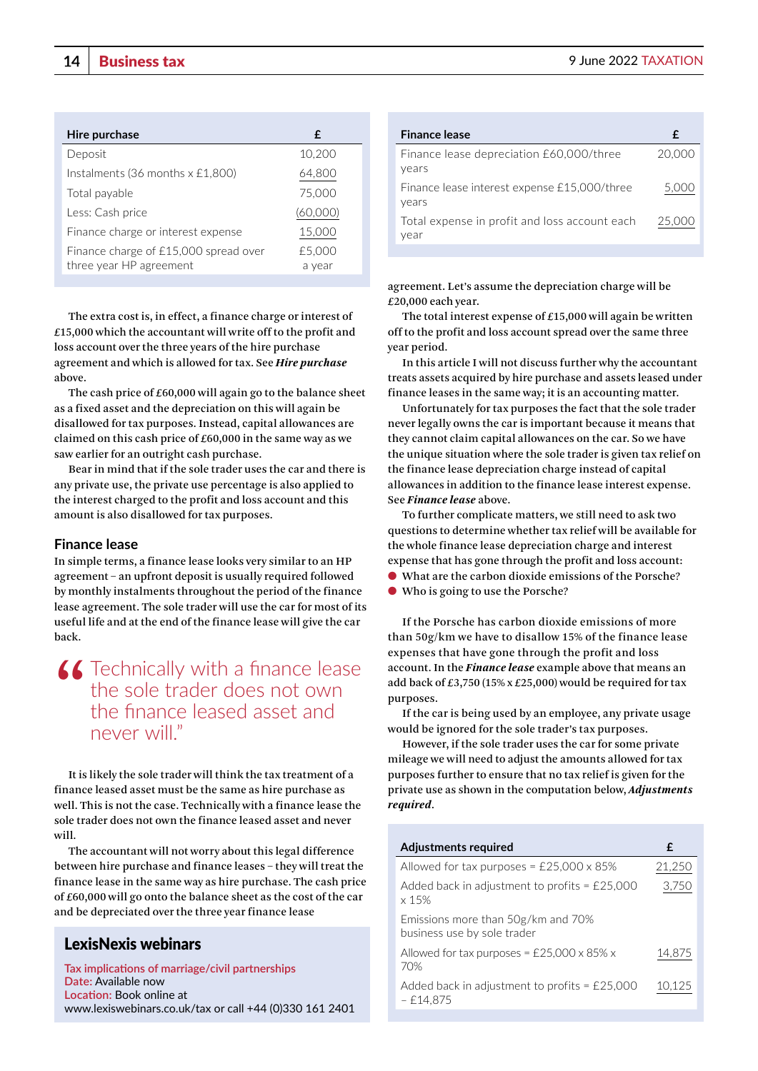| Hire purchase                                | £        |
|----------------------------------------------|----------|
| Deposit                                      | 10,200   |
| Instalments (36 months $x \n\in \{1,800\}$ ) | 64,800   |
| Total payable                                | 75,000   |
| Less: Cash price                             | (60,000) |
| Finance charge or interest expense           | 15,000   |
| Finance charge of £15,000 spread over        | £5,000   |
| three year HP agreement                      | a year   |

The extra cost is, in effect, a finance charge or interest of £15,000 which the accountant will write off to the profit and loss account over the three years of the hire purchase agreement and which is allowed for tax. See *Hire purchase* above.

The cash price of £60,000 will again go to the balance sheet as a fixed asset and the depreciation on this will again be disallowed for tax purposes. Instead, capital allowances are claimed on this cash price of £60,000 in the same way as we saw earlier for an outright cash purchase.

Bear in mind that if the sole trader uses the car and there is any private use, the private use percentage is also applied to the interest charged to the profit and loss account and this amount is also disallowed for tax purposes.

#### **Finance lease**

In simple terms, a finance lease looks very similar to an HP agreement – an upfront deposit is usually required followed by monthly instalments throughout the period of the finance lease agreement. The sole trader will use the car for most of its useful life and at the end of the finance lease will give the car back.

### **"Technically with a finance lease**<br>the sole trader does not own<br>the finance leased asset and the sole trader does not own the finance leased asset and never will."

It is likely the sole trader will think the tax treatment of a finance leased asset must be the same as hire purchase as well. This is not the case. Technically with a finance lease the sole trader does not own the finance leased asset and never will.

The accountant will not worry about this legal difference between hire purchase and finance leases – they will treat the finance lease in the same way as hire purchase. The cash price of £60,000 will go onto the balance sheet as the cost of the car and be depreciated over the three year finance lease

#### LexisNexis webinars

**Tax implications of marriage/civil partnerships Date:** Available now **Location:** Book online at [www.lexiswebinars.co.uk/tax](http://www.lexiswebinars.co.uk/tax) or call +44 (0)330 161 2401

| <b>Finance lease</b>                                  | £      |
|-------------------------------------------------------|--------|
| Finance lease depreciation £60,000/three<br>years     | 20,000 |
| Finance lease interest expense £15,000/three<br>years | 5,000  |
| Total expense in profit and loss account each<br>year | 25.000 |
|                                                       |        |

agreement. Let's assume the depreciation charge will be £20,000 each year.

The total interest expense of £15,000 will again be written off to the profit and loss account spread over the same three year period.

In this article I will not discuss further why the accountant treats assets acquired by hire purchase and assets leased under finance leases in the same way; it is an accounting matter.

Unfortunately for tax purposes the fact that the sole trader never legally owns the car is important because it means that they cannot claim capital allowances on the car. So we have the unique situation where the sole trader is given tax relief on the finance lease depreciation charge instead of capital allowances in addition to the finance lease interest expense. See *Finance lease* above.

To further complicate matters, we still need to ask two questions to determine whether tax relief will be available for the whole finance lease depreciation charge and interest expense that has gone through the profit and loss account:

- What are the carbon dioxide emissions of the Porsche?
- Who is going to use the Porsche?

If the Porsche has carbon dioxide emissions of more than 50g/km we have to disallow 15% of the finance lease expenses that have gone through the profit and loss account. In the *Finance lease* example above that means an add back of £3,750 (15% x £25,000) would be required for tax purposes.

If the car is being used by an employee, any private usage would be ignored for the sole trader's tax purposes.

However, if the sole trader uses the car for some private mileage we will need to adjust the amounts allowed for tax purposes further to ensure that no tax relief is given for the private use as shown in the computation below, *Adjustments required*.

| Adjustments required                                              | £      |
|-------------------------------------------------------------------|--------|
| Allowed for tax purposes = $£25,000 \times 85\%$                  | 21,250 |
| Added back in adjustment to profits = $£25,000$<br>$\times$ 15%   | 3,750  |
| Emissions more than 50g/km and 70%<br>business use by sole trader |        |
| Allowed for tax purposes = $£25,000 \times 85\% \times$<br>70%    | 14,875 |
| Added back in adjustment to profits = $£25,000$<br>- £14.875      | 10.125 |
|                                                                   |        |